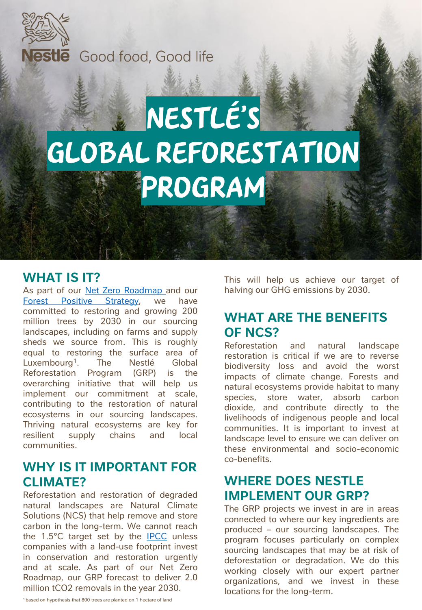

Nestle Good food, Good life

# Nestlé's GLOBAL REFORESTATION Program

#### **WHAT IS IT?**

As part of our Net Zero [Roadmap](https://www.nestle.com/sites/default/files/2020-12/nestle-net-zero-roadmap-en.pdf) and our Forest Positive [Strategy,](https://www.nestle.com/csv/responsible-sourcing/forest-positive-future) we have committed to restoring and growing 200 million trees by 2030 in our sourcing landscapes, including on farms and supply sheds we source from. This is roughly equal to restoring the surface area of Luxembourg<sup>1</sup>. . The Nestlé Global Reforestation Program (GRP) is the overarching initiative that will help us implement our commitment at scale, contributing to the restoration of natural ecosystems in our sourcing landscapes. Thriving natural ecosystems are key for resilient supply chains and local communities.

#### **WHY IS IT IMPORTANT FOR CLIMATE?**

Reforestation and restoration of degraded natural landscapes are Natural Climate Solutions (NCS) that help remove and store carbon in the long-term. We cannot reach the 1.5°C target set by the **[IPCC](https://www.ipcc.ch/)** unless companies with a land-use footprint invest in conservation and restoration urgently and at scale. As part of our Net Zero Roadmap, our GRP forecast to deliver 2.0 million tCO2 removals in the year 2030.

This will help us achieve our target of halving our GHG emissions by 2030.

#### **WHAT ARE THE BENEFITS OF NCS?**

Reforestation and natural landscape restoration is critical if we are to reverse biodiversity loss and avoid the worst impacts of climate change. Forests and natural ecosystems provide habitat to many species, store water, absorb carbon dioxide, and contribute directly to the livelihoods of indigenous people and local communities. It is important to invest at landscape level to ensure we can deliver on these environmental and socio-economic co-benefits.

## **WHERE DOES NESTLE IMPLEMENT OUR GRP?**

The GRP projects we invest in are in areas connected to where our key ingredients are produced – our sourcing landscapes. The program focuses particularly on complex sourcing landscapes that may be at risk of deforestation or degradation. We do this working closely with our expert partner organizations, and we invest in these locations for the long-term.